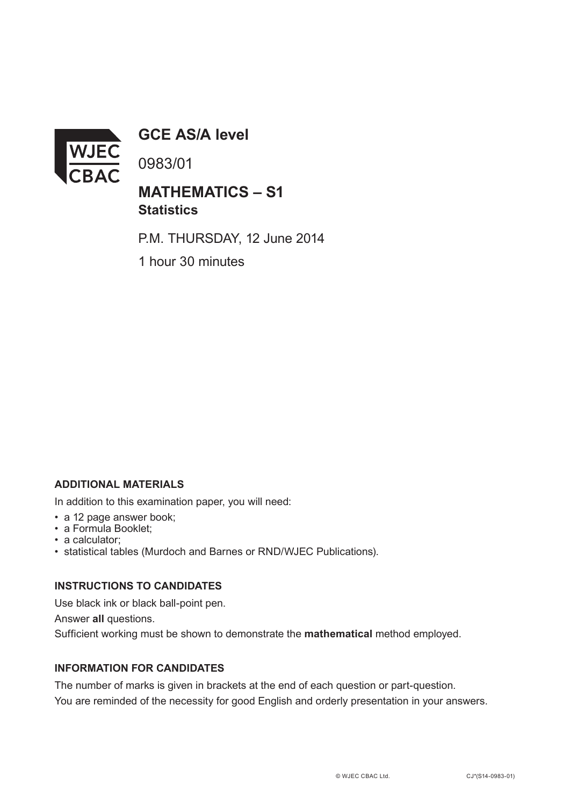

**GCE AS/A level**

0983/01

# **MATHEMATICS – S1 Statistics**

P.M. THURSDAY, 12 June 2014

1 hour 30 minutes

## **ADDITIONAL MATERIALS**

In addition to this examination paper, you will need:

- a 12 page answer book;
- a Formula Booklet;
- a calculator;
- statistical tables (Murdoch and Barnes or RND/WJEC Publications).

#### **INSTRUCTIONS TO CANDIDATES**

Use black ink or black ball-point pen.

Answer **all** questions.

Sufficient working must be shown to demonstrate the **mathematical** method employed.

### **INFORMATION FOR CANDIDATES**

The number of marks is given in brackets at the end of each question or part-question. You are reminded of the necessity for good English and orderly presentation in your answers.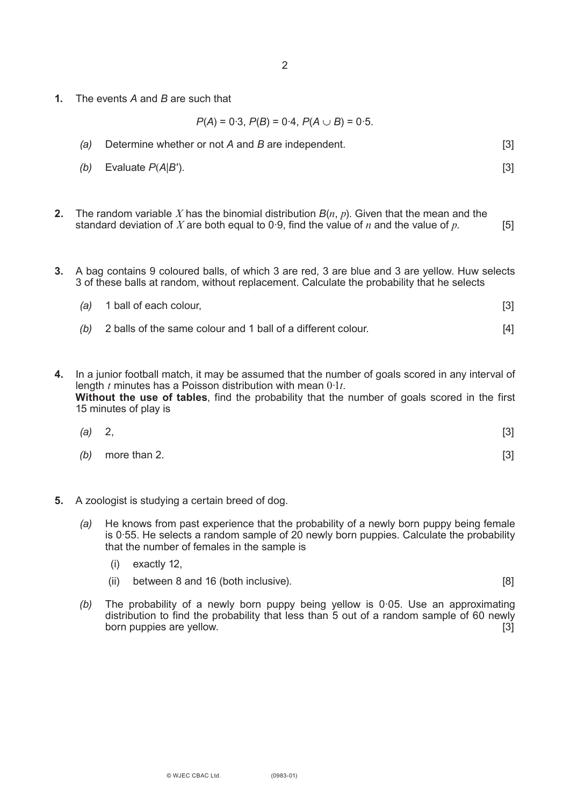**1.** The events *A* and *B* are such that

 $P(A) = 0.3$ ,  $P(B) = 0.4$ ,  $P(A \cup B) = 0.5$ .

- *(a)* Determine whether or not *A* and *B* are independent. [3]
- *(b)* Evaluate *P*(*A*|*B*′). [3]
- **2.** The random variable *X* has the binomial distribution *B*(*n*, *p*). Given that the mean and the standard deviation of *X* are both equal to 0.9, find the value of *n* and the value of *p*.  $[5]$
- **3.** A bag contains 9 coloured balls, of which 3 are red, 3 are blue and 3 are yellow. Huw selects 3 of these balls at random, without replacement. Calculate the probability that he selects

| $(a)$ 1 ball of each colour, |  |
|------------------------------|--|
|                              |  |

- *(b)* 2 balls of the same colour and 1 ball of a different colour. [4]
- **4.** In a junior football match, it may be assumed that the number of goals scored in any interval of length *t* minutes has a Poisson distribution with mean 0·1*t*. **Without the use of tables**, find the probability that the number of goals scored in the first 15 minutes of play is

| (a) 2, |                  | [3] |
|--------|------------------|-----|
|        | (b) more than 2. | [3] |

- **5.** A zoologist is studying a certain breed of dog.
	- *(a)* He knows from past experience that the probability of a newly born puppy being female is 0·55. He selects a random sample of 20 newly born puppies. Calculate the probability that the number of females in the sample is
		- (i) exactly 12,
		- (ii) between 8 and 16 (both inclusive). [8]
	- *(b)* The probability of a newly born puppy being yellow is 0·05. Use an approximating distribution to find the probability that less than 5 out of a random sample of 60 newly born puppies are yellow. [3]